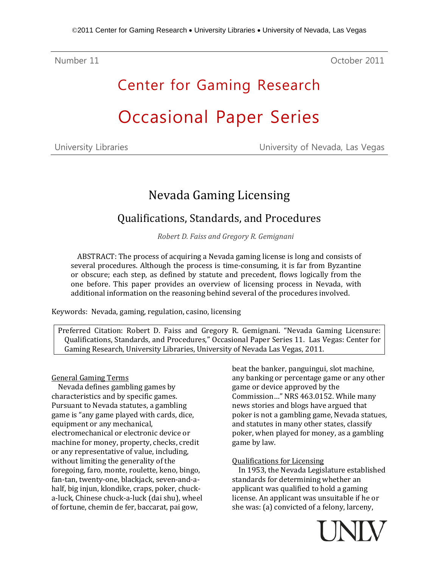Number 11 October 2011

# Center for Gaming Research Occasional Paper Series

| University Libraries |  |
|----------------------|--|
|----------------------|--|

University of Nevada, Las Vegas

## Nevada Gaming Licensing

### Qualifications, Standards, and Procedures

*Robert D. Faiss and Gregory R. Gemignani*

ABSTRACT: The process of acquiring a Nevada gaming license is long and consists of several procedures. Although the process is time-consuming, it is far from Byzantine or obscure; each step, as defined by statute and precedent, flows logically from the one before. This paper provides an overview of licensing process in Nevada, with additional information on the reasoning behind several of the procedures involved.

Keywords: Nevada, gaming, regulation, casino, licensing

Preferred Citation: Robert D. Faiss and Gregory R. Gemignani. "Nevada Gaming Licensure: Qualifications, Standards, and Procedures," Occasional Paper Series 11. Las Vegas: Center for Gaming Research, University Libraries, University of Nevada Las Vegas, 2011.

#### General Gaming Terms

Nevada defines gambling games by characteristics and by specific games. Pursuant to Nevada statutes, a gambling game is "any game played with cards, dice, equipment or any mechanical, electromechanical or electronic device or machine for money, property, checks, credit or any representative of value, including, without limiting the generality of the foregoing, faro, monte, roulette, keno, bingo, fan-tan, twenty-one, blackjack, seven-and-ahalf, big injun, klondike, craps, poker, chucka-luck, Chinese chuck-a-luck (dai shu), wheel of fortune, chemin de fer, baccarat, pai gow,

beat the banker, panguingui, slot machine, any banking or percentage game or any other game or device approved by the Commission…" NRS 463.0152. While many news stories and blogs have argued that poker is not a gambling game, Nevada statues, and statutes in many other states, classify poker, when played for money, as a gambling game by law.

#### Qualifications for Licensing

In 1953, the Nevada Legislature established standards for determining whether an applicant was qualified to hold a gaming license. An applicant was unsuitable if he or she was: (a) convicted of a felony, larceny,

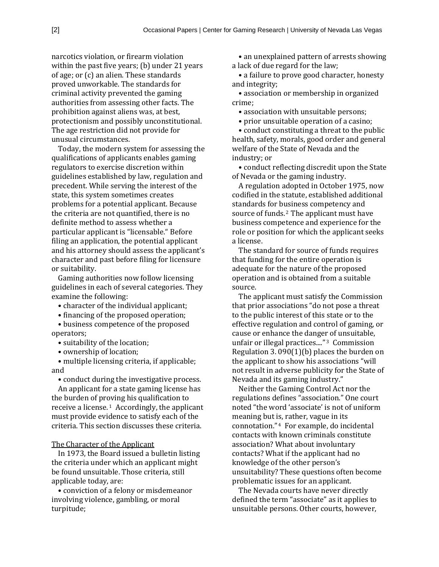narcotics violation, or firearm violation within the past five years; (b) under 21 years of age; or (c) an alien. These standards proved unworkable. The standards for criminal activity prevented the gaming authorities from assessing other facts. The prohibition against aliens was, at best, protectionism and possibly unconstitutional. The age restriction did not provide for unusual circumstances.

Today, the modern system for assessing the qualifications of applicants enables gaming regulators to exercise discretion within guidelines established by law, regulation and precedent. While serving the interest of the state, this system sometimes creates problems for a potential applicant. Because the criteria are not quantified, there is no definite method to assess whether a particular applicant is "licensable." Before filing an application, the potential applicant and his attorney should assess the applicant's character and past before filing for licensure or suitability.

Gaming authorities now follow licensing guidelines in each of several categories. They examine the following:

- character of the individual applicant;
- financing of the proposed operation;

• business competence of the proposed operators;

- suitability of the location;
- ownership of location;

• multiple licensing criteria, if applicable; and

• conduct during the investigative process.

An applicant for a state gaming license has the burden of pr[ov](#page-14-0)ing his qualification to receive a license.<sup>1</sup> Accordingly, the applicant must provide evidence to satisfy each of the criteria. This section discusses these criteria.

#### The Character of the Applicant

In 1973, the Board issued a bulletin listing the criteria under which an applicant might be found unsuitable. Those criteria, still applicable today, are:

• conviction of a felony or misdemeanor involving violence, gambling, or moral turpitude;

• an unexplained pattern of arrests showing a lack of due regard for the law;

• a failure to prove good character, honesty and integrity;

• association or membership in organized crime;

• association with unsuitable persons;

• prior unsuitable operation of a casino;

• conduct constituting a threat to the public health, safety, morals, good order and general welfare of the State of Nevada and the industry; or

• conduct reflecting discredit upon the State of Nevada or the gaming industry.

A regulation adopted in October 1975, now codified in the statute, established additional standards for b[us](#page-15-0)iness competency and source of funds. <sup>2</sup> The applicant must have business competence and experience for the role or position for which the applicant seeks a license.

The standard for source of funds requires that funding for the entire operation is adequate for the nature of the proposed operation and is obtained from a suitable source.

The applicant must satisfy the Commission that prior associations "do not pose a threat to the public interest of this state or to the effective regulation and control of gaming, or cause or enhance the dange[r](#page-15-1) of unsuitable, unfair or illegal practices...."<sup>3</sup> Commission Regulation 3. 090(1)(b) places the burden on the applicant to show his associations "will not result in adverse publicity for the State of Nevada and its gaming industry."

Neither the Gaming Control Act nor the regulations defines "association." One court noted "the word 'associate' is not of uniform meaning but [is](#page-15-2), rather, vague in its connotation." <sup>4</sup> For example, do incidental contacts with known criminals constitute association? What about involuntary contacts? What if the applicant had no knowledge of the other person's unsuitability? These questions often become problematic issues for an applicant.

The Nevada courts have never directly defined the term "associate" as it applies to unsuitable persons. Other courts, however,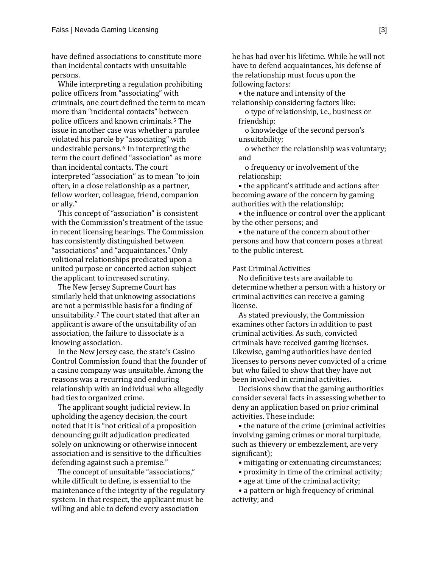have defined associations to constitute more than incidental contacts with unsuitable persons.

While interpreting a regulation prohibiting police officers from "associating" with criminals, one court defined the term to mean more than "incidental contacts" bet[we](#page-15-3)en police officers and known criminals. <sup>5</sup> The issue in another case was whether a parolee violated his parole b[y](#page-15-4) "associating" with undesirable persons. <sup>6</sup> In interpreting the term the court defined "association" as more than incidental contacts. The court interpreted "association" as to mean "to join often, in a close relationship as a partner, fellow worker, colleague, friend, companion or ally."

This concept of "association" is consistent with the Commission's treatment of the issue in recent licensing hearings. The Commission has consistently distinguished between "associations" and "acquaintances." Only volitional relationships predicated upon a united purpose or concerted action subject the applicant to increased scrutiny.

The New Jersey Supreme Court has similarly held that unknowing associations are not a per[m](#page-15-5)issible basis for a finding of unsuitability. <sup>7</sup> The court stated that after an applicant is aware of the unsuitability of an association, the failure to dissociate is a knowing association.

In the New Jersey case, the state's Casino Control Commission found that the founder of a casino company was unsuitable. Among the reasons was a recurring and enduring relationship with an individual who allegedly had ties to organized crime.

The applicant sought judicial review. In upholding the agency decision, the court noted that it is "not critical of a proposition denouncing guilt adjudication predicated solely on unknowing or otherwise innocent association and is sensitive to the difficulties defending against such a premise."

The concept of unsuitable "associations," while difficult to define, is essential to the maintenance of the integrity of the regulatory system. In that respect, the applicant must be willing and able to defend every association

he has had over his lifetime. While he will not have to defend acquaintances, his defense of the relationship must focus upon the following factors:

• the nature and intensity of the relationship considering factors like:

o type of relationship, i.e., business or friendship;

o knowledge of the second person's unsuitability;

o whether the relationship was voluntary; and

o frequency or involvement of the relationship;

• the applicant's attitude and actions after becoming aware of the concern by gaming authorities with the relationship;

• the influence or control over the applicant by the other persons; and

• the nature of the concern about other persons and how that concern poses a threat to the public interest.

#### Past Criminal Activities

No definitive tests are available to determine whether a person with a history or criminal activities can receive a gaming license.

As stated previously, the Commission examines other factors in addition to past criminal activities. As such, convicted criminals have received gaming licenses. Likewise, gaming authorities have denied licenses to persons never convicted of a crime but who failed to show that they have not been involved in criminal activities.

Decisions show that the gaming authorities consider several facts in assessing whether to deny an application based on prior criminal activities. These include:

• the nature of the crime (criminal activities involving gaming crimes or moral turpitude, such as thievery or embezzlement, are very significant);

• mitigating or extenuating circumstances;

- proximity in time of the criminal activity;
- age at time of the criminal activity;

• a pattern or high frequency of criminal activity; and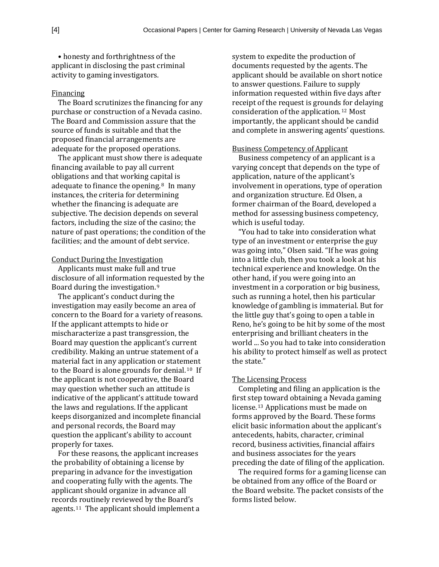• honesty and forthrightness of the applicant in disclosing the past criminal activity to gaming investigators.

#### Financing

The Board scrutinizes the financing for any purchase or construction of a Nevada casino. The Board and Commission assure that the source of funds is suitable and that the proposed financial arrangements are adequate for the proposed operations.

The applicant must show there is adequate financing available to pay all current obligations and that working ca[pi](#page-15-6)tal is adequate to finance the opening. <sup>8</sup> In many instances, the criteria for determining whether the financing is adequate are subjective. The decision depends on several factors, including the size of the casino; the nature of past operations; the condition of the facilities; and the amount of debt service.

#### Conduct During the Investigation

Applicants must make full and true disclosure of all information re[qu](#page-15-7)ested by the Board during the investigation. <sup>9</sup>

The applicant's conduct during the investigation may easily become an area of concern to the Board for a variety of reasons. If the applicant attempts to hide or mischaracterize a past transgression, the Board may question the applicant's current credibility. Making an untrue statement of a material fact in any application or state[me](#page-15-8)nt to the Board is alone grounds for denial. <sup>10</sup> If the applicant is not cooperative, the Board may question whether such an attitude is indicative of the applicant's attitude toward the laws and regulations. If the applicant keeps disorganized and incomplete financial and personal records, the Board may question the applicant's ability to account properly for taxes.

For these reasons, the applicant increases the probability of obtaining a license by preparing in advance for the investigation and cooperating fully with the agents. The applicant should organize in advance all record[s r](#page-15-9)outinely reviewed by the Board's agents. <sup>11</sup> The applicant should implement a

system to expedite the production of documents requested by the agents. The applicant should be available on short notice to answer questions. Failure to supply information requested within five days after receipt of the request is ground[s fo](#page-15-10)r delaying consideration of the application. <sup>12</sup> Most importantly, the applicant should be candid and complete in answering agents' questions.

#### Business Competency of Applicant

Business competency of an applicant is a varying concept that depends on the type of application, nature of the applicant's involvement in operations, type of operation and organization structure. Ed Olsen, a former chairman of the Board, developed a method for assessing business competency, which is useful today.

"You had to take into consideration what type of an investment or enterprise the guy was going into," Olsen said. "If he was going into a little club, then you took a look at his technical experience and knowledge. On the other hand, if you were going into an investment in a corporation or big business, such as running a hotel, then his particular knowledge of gambling is immaterial. But for the little guy that's going to open a table in Reno, he's going to be hit by some of the most enterprising and brilliant cheaters in the world ... So you had to take into consideration his ability to protect himself as well as protect the state."

#### The Licensing Process

Completing and filing an application is the first step toward obtaining a Nevada gaming license.[13](#page-15-11) Applications must be made on forms approved by the Board. These forms elicit basic information about the applicant's antecedents, habits, character, criminal record, business activities, financial affairs and business associates for the years preceding the date of filing of the application.

The required forms for a gaming license can be obtained from any office of the Board or the Board website. The packet consists of the forms listed below.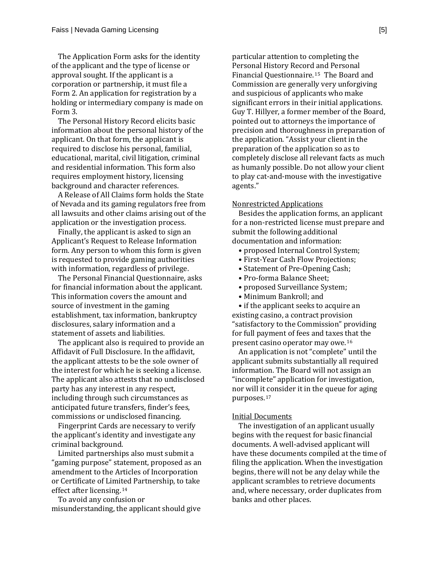The Application Form asks for the identity of the applicant and the type of license or approval sought. If the applicant is a corporation or partnership, it must file a Form 2. An application for registration by a holding or intermediary company is made on Form 3.

The Personal History Record elicits basic information about the personal history of the applicant. On that form, the applicant is required to disclose his personal, familial, educational, marital, civil litigation, criminal and residential information. This form also requires employment history, licensing background and character references.

A Release of All Claims form holds the State of Nevada and its gaming regulators free from all lawsuits and other claims arising out of the application or the investigation process.

Finally, the applicant is asked to sign an Applicant's Request to Release Information form. Any person to whom this form is given is requested to provide gaming authorities with information, regardless of privilege.

The Personal Financial Questionnaire, asks for financial information about the applicant. This information covers the amount and source of investment in the gaming establishment, tax information, bankruptcy disclosures, salary information and a statement of assets and liabilities.

The applicant also is required to provide an Affidavit of Full Disclosure. In the affidavit, the applicant attests to be the sole owner of the interest for which he is seeking a license. The applicant also attests that no undisclosed party has any interest in any respect, including through such circumstances as anticipated future transfers, finder's fees, commissions or undisclosed financing.

Fingerprint Cards are necessary to verify the applicant's identity and investigate any criminal background.

Limited partnerships also must submit a "gaming purpose" statement, proposed as an amendment to the Articles of Incorporation or Certificate of Limi[ted](#page-15-12) Partnership, to take effect after licensing. <sup>14</sup>

To avoid any confusion or misunderstanding, the applicant should give

particular attention to completing the Personal History Record [an](#page-15-13)d Personal Financial Questionnaire. <sup>15</sup> The Board and Commission are generally very unforgiving and suspicious of applicants who make significant errors in their initial applications. Guy T. Hillyer, a former member of the Board, pointed out to attorneys the importance of precision and thoroughness in preparation of the application. "Assist your client in the preparation of the application so as to completely disclose all relevant facts as much as humanly possible. Do not allow your client to play cat-and-mouse with the investigative agents."

#### Nonrestricted Applications

Besides the application forms, an applicant for a non-restricted license must prepare and submit the following additional documentation and information:

- proposed Internal Control System;
- First-Year Cash Flow Projections;
- Statement of Pre-Opening Cash;
- Pro-forma Balance Sheet;
- proposed Surveillance System;
- Minimum Bankroll; and

• if the applicant seeks to acquire an existing casino, a contract provision "satisfactory to the Commission" providing for full payment of fees and taxes [tha](#page-15-14)t the present casino operator may owe.16

An application is not "complete" until the applicant submits substantially all required information. The Board will not assign an "incomplete" application for investigation, nor will it [co](#page-15-15)nsider it in the queue for aging purposes. <sup>17</sup>

#### Initial Documents

The investigation of an applicant usually begins with the request for basic financial documents. A well-advised applicant will have these documents compiled at the time of filing the application. When the investigation begins, there will not be any delay while the applicant scrambles to retrieve documents and, where necessary, order duplicates from banks and other places.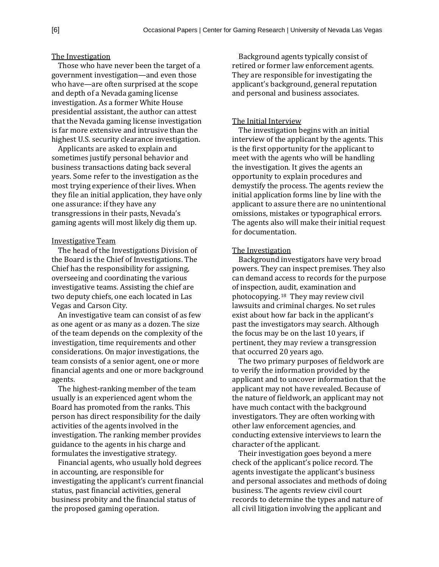#### The Investigation

Those who have never been the target of a government investigation—and even those who have—are often surprised at the scope and depth of a Nevada gaming license investigation. As a former White House presidential assistant, the author can attest that the Nevada gaming license investigation is far more extensive and intrusive than the highest U.S. security clearance investigation.

Applicants are asked to explain and sometimes justify personal behavior and business transactions dating back several years. Some refer to the investigation as the most trying experience of their lives. When they file an initial application, they have only one assurance: if they have any transgressions in their pasts, Nevada's gaming agents will most likely dig them up.

#### Investigative Team

The head of the Investigations Division of the Board is the Chief of Investigations. The Chief has the responsibility for assigning, overseeing and coordinating the various investigative teams. Assisting the chief are two deputy chiefs, one each located in Las Vegas and Carson City.

An investigative team can consist of as few as one agent or as many as a dozen. The size of the team depends on the complexity of the investigation, time requirements and other considerations. On major investigations, the team consists of a senior agent, one or more financial agents and one or more background agents.

The highest-ranking member of the team usually is an experienced agent whom the Board has promoted from the ranks. This person has direct responsibility for the daily activities of the agents involved in the investigation. The ranking member provides guidance to the agents in his charge and formulates the investigative strategy.

Financial agents, who usually hold degrees in accounting, are responsible for investigating the applicant's current financial status, past financial activities, general business probity and the financial status of the proposed gaming operation.

Background agents typically consist of retired or former law enforcement agents. They are responsible for investigating the applicant's background, general reputation and personal and business associates.

#### The Initial Interview

The investigation begins with an initial interview of the applicant by the agents. This is the first opportunity for the applicant to meet with the agents who will be handling the investigation. It gives the agents an opportunity to explain procedures and demystify the process. The agents review the initial application forms line by line with the applicant to assure there are no unintentional omissions, mistakes or typographical errors. The agents also will make their initial request for documentation.

#### The Investigation

Background investigators have very broad powers. They can inspect premises. They also can demand access to records for the purpose of inspection, [au](#page-15-16)dit, examination and photocopying. <sup>18</sup> They may review civil lawsuits and criminal charges. No set rules exist about how far back in the applicant's past the investigators may search. Although the focus may be on the last 10 years, if pertinent, they may review a transgression that occurred 20 years ago.

The two primary purposes of fieldwork are to verify the information provided by the applicant and to uncover information that the applicant may not have revealed. Because of the nature of fieldwork, an applicant may not have much contact with the background investigators. They are often working with other law enforcement agencies, and conducting extensive interviews to learn the character of the applicant.

Their investigation goes beyond a mere check of the applicant's police record. The agents investigate the applicant's business and personal associates and methods of doing business. The agents review civil court records to determine the types and nature of all civil litigation involving the applicant and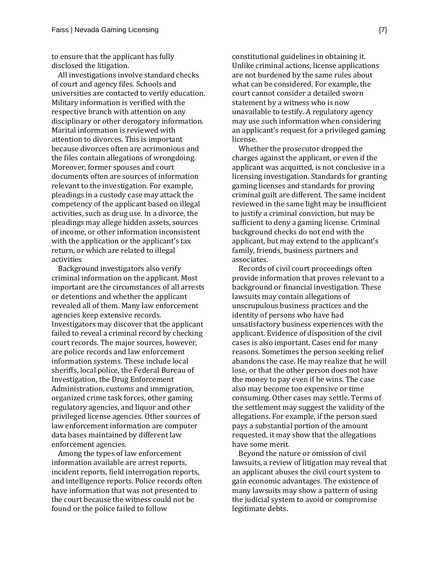to ensure that the applicant has fully disclosed the litigation.

All investigations involve standard checks of court and agency files. Schools and universities are contacted to verify education. Military information is verified with the respective branch with attention on any disciplinary or other derogatory information. Marital information is reviewed with attention to divorces. This is important because divorces often are acrimonious and the files contain allegations of wrongdoing. Moreover, former spouses and court documents often are sources of information relevant to the investigation. For example, pleadings in a custody case may attack the competency of the applicant based on illegal activities, such as drug use. In a divorce, the pleadings may allege hidden assets, sources of income, or other information inconsistent with the application or the applicant's tax return, or which are related to illegal activities

Background investigators also verify criminal information on the applicant. Most important are the circumstances of all arrests or detentions and whether the applicant revealed all of them. Many law enforcement agencies keep extensive records. Investigators may discover that the applicant failed to reveal a criminal record by checking court records. The major sources, however, are police records and law enforcement information systems. These include local sheriffs, local police, the Federal Bureau of Investigation, the Drug Enforcement Administration, customs and immigration, organized crime task forces, other gaming regulatory agencies, and liquor and other privileged license agencies. Other sources of law enforcement information are computer data bases maintained by different law enforcement agencies.

Among the types of law enforcement information available are arrest reports, incident reports, field interrogation reports, and intelligence reports. Police records often have information that was not presented to the court because the witness could not be found or the police failed to follow

constitutional guidelines in obtaining it. Unlike criminal actions, license applications are not burdened by the same rules about what can be considered. For example, the court cannot consider a detailed sworn statement by a witness who is now unavailable to testify. A regulatory agency may use such information when considering an applicant's request for a privileged gaming license.

Whether the prosecutor dropped the charges against the applicant, or even if the applicant was acquitted, is not conclusive in a licensing investigation. Standards for granting gaming licenses and standards for proving criminal guilt are different. The same incident reviewed in the same light may be insufficient to justify a criminal conviction, but may be sufficient to deny a gaming license. Criminal background checks do not end with the applicant, but may extend to the applicant's family, friends, business partners and associates.

Records of civil court proceedings often provide information that proves relevant to a background or financial investigation. These lawsuits may contain allegations of unscrupulous business practices and the identity of persons who have had unsatisfactory business experiences with the applicant. Evidence of disposition of the civil cases is also important. Cases end for many reasons. Sometimes the person seeking relief abandons the case. He may realize that he will lose, or that the other person does not have the money to pay even if he wins. The case also may become too expensive or time consuming. Other cases may settle. Terms of the settlement may suggest the validity of the allegations. For example, if the person sued pays a substantial portion of the amount requested, it may show that the allegations have some merit.

Beyond the nature or omission of civil lawsuits, a review of litigation may reveal that an applicant abuses the civil court system to gain economic advantages. The existence of many lawsuits may show a pattern of using the judicial system to avoid or compromise legitimate debts.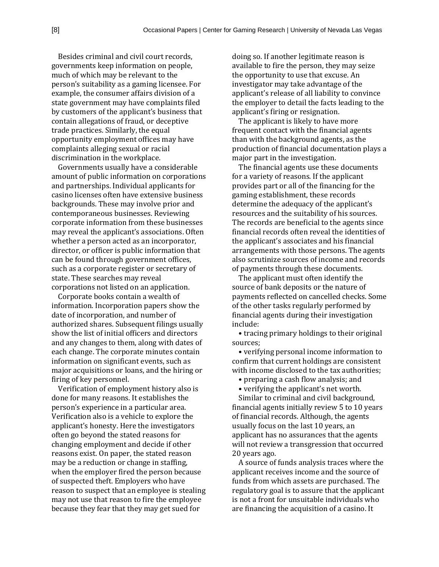Besides criminal and civil court records, governments keep information on people, much of which may be relevant to the person's suitability as a gaming licensee. For example, the consumer affairs division of a state government may have complaints filed by customers of the applicant's business that contain allegations of fraud, or deceptive trade practices. Similarly, the equal opportunity employment offices may have complaints alleging sexual or racial discrimination in the workplace.

Governments usually have a considerable amount of public information on corporations and partnerships. Individual applicants for casino licenses often have extensive business backgrounds. These may involve prior and contemporaneous businesses. Reviewing corporate information from these businesses may reveal the applicant's associations. Often whether a person acted as an incorporator, director, or officer is public information that can be found through government offices, such as a corporate register or secretary of state. These searches may reveal corporations not listed on an application.

Corporate books contain a wealth of information. Incorporation papers show the date of incorporation, and number of authorized shares. Subsequent filings usually show the list of initial officers and directors and any changes to them, along with dates of each change. The corporate minutes contain information on significant events, such as major acquisitions or loans, and the hiring or firing of key personnel.

Verification of employment history also is done for many reasons. It establishes the person's experience in a particular area. Verification also is a vehicle to explore the applicant's honesty. Here the investigators often go beyond the stated reasons for changing employment and decide if other reasons exist. On paper, the stated reason may be a reduction or change in staffing, when the employer fired the person because of suspected theft. Employers who have reason to suspect that an employee is stealing may not use that reason to fire the employee because they fear that they may get sued for

doing so. If another legitimate reason is available to fire the person, they may seize the opportunity to use that excuse. An investigator may take advantage of the applicant's release of all liability to convince the employer to detail the facts leading to the applicant's firing or resignation.

The applicant is likely to have more frequent contact with the financial agents than with the background agents, as the production of financial documentation plays a major part in the investigation.

The financial agents use these documents for a variety of reasons. If the applicant provides part or all of the financing for the gaming establishment, these records determine the adequacy of the applicant's resources and the suitability of his sources. The records are beneficial to the agents since financial records often reveal the identities of the applicant's associates and his financial arrangements with those persons. The agents also scrutinize sources of income and records of payments through these documents.

The applicant must often identify the source of bank deposits or the nature of payments reflected on cancelled checks. Some of the other tasks regularly performed by financial agents during their investigation include:

• tracing primary holdings to their original sources;

• verifying personal income information to confirm that current holdings are consistent with income disclosed to the tax authorities;

• preparing a cash flow analysis; and

• verifying the applicant's net worth.

Similar to criminal and civil background, financial agents initially review 5 to 10 years of financial records. Although, the agents usually focus on the last 10 years, an applicant has no assurances that the agents will not review a transgression that occurred 20 years ago.

A source of funds analysis traces where the applicant receives income and the source of funds from which assets are purchased. The regulatory goal is to assure that the applicant is not a front for unsuitable individuals who are financing the acquisition of a casino. It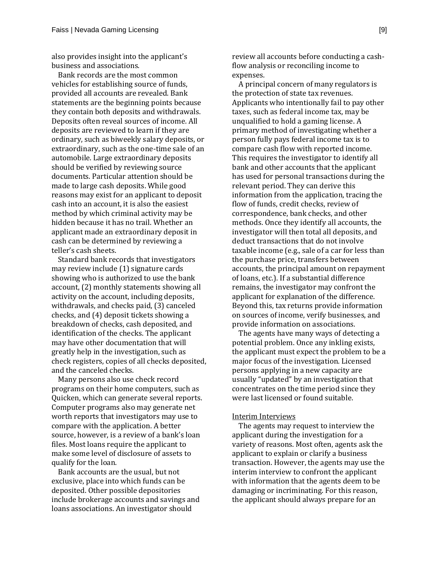also provides insight into the applicant's business and associations.

Bank records are the most common vehicles for establishing source of funds, provided all accounts are revealed. Bank statements are the beginning points because they contain both deposits and withdrawals. Deposits often reveal sources of income. All deposits are reviewed to learn if they are ordinary, such as biweekly salary deposits, or extraordinary, such as the one-time sale of an automobile. Large extraordinary deposits should be verified by reviewing source documents. Particular attention should be made to large cash deposits. While good reasons may exist for an applicant to deposit cash into an account, it is also the easiest method by which criminal activity may be hidden because it has no trail. Whether an applicant made an extraordinary deposit in cash can be determined by reviewing a teller's cash sheets.

Standard bank records that investigators may review include (1) signature cards showing who is authorized to use the bank account, (2) monthly statements showing all activity on the account, including deposits, withdrawals, and checks paid, (3) canceled checks, and (4) deposit tickets showing a breakdown of checks, cash deposited, and identification of the checks. The applicant may have other documentation that will greatly help in the investigation, such as check registers, copies of all checks deposited, and the canceled checks.

Many persons also use check record programs on their home computers, such as Quicken, which can generate several reports. Computer programs also may generate net worth reports that investigators may use to compare with the application. A better source, however, is a review of a bank's loan files. Most loans require the applicant to make some level of disclosure of assets to qualify for the loan.

Bank accounts are the usual, but not exclusive, place into which funds can be deposited. Other possible depositories include brokerage accounts and savings and loans associations. An investigator should

review all accounts before conducting a cashflow analysis or reconciling income to expenses.

A principal concern of many regulators is the protection of state tax revenues. Applicants who intentionally fail to pay other taxes, such as federal income tax, may be unqualified to hold a gaming license. A primary method of investigating whether a person fully pays federal income tax is to compare cash flow with reported income. This requires the investigator to identify all bank and other accounts that the applicant has used for personal transactions during the relevant period. They can derive this information from the application, tracing the flow of funds, credit checks, review of correspondence, bank checks, and other methods. Once they identify all accounts, the investigator will then total all deposits, and deduct transactions that do not involve taxable income (e.g., sale of a car for less than the purchase price, transfers between accounts, the principal amount on repayment of loans, etc.). If a substantial difference remains, the investigator may confront the applicant for explanation of the difference. Beyond this, tax returns provide information on sources of income, verify businesses, and provide information on associations.

The agents have many ways of detecting a potential problem. Once any inkling exists, the applicant must expect the problem to be a major focus of the investigation. Licensed persons applying in a new capacity are usually "updated" by an investigation that concentrates on the time period since they were last licensed or found suitable.

#### Interim Interviews

The agents may request to interview the applicant during the investigation for a variety of reasons. Most often, agents ask the applicant to explain or clarify a business transaction. However, the agents may use the interim interview to confront the applicant with information that the agents deem to be damaging or incriminating. For this reason, the applicant should always prepare for an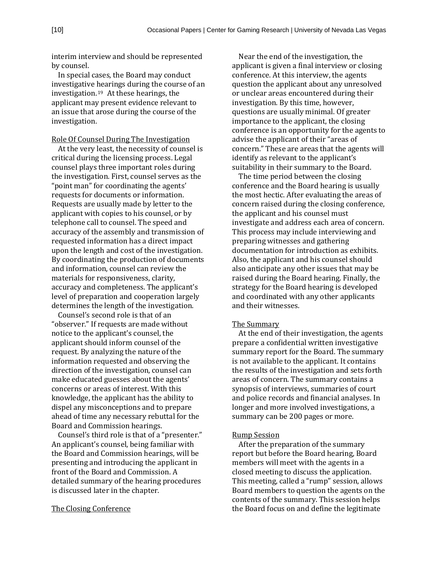interim interview and should be represented by counsel.

In special cases, the Board may conduct investigative hearings during the course of an investigation.[19](#page-15-17) At these hearings, the applicant may present evidence relevant to an issue that arose during the course of the investigation.

Role Of Counsel During The Investigation

At the very least, the necessity of counsel is critical during the licensing process. Legal counsel plays three important roles during the investigation. First, counsel serves as the "point man" for coordinating the agents' requests for documents or information. Requests are usually made by letter to the applicant with copies to his counsel, or by telephone call to counsel. The speed and accuracy of the assembly and transmission of requested information has a direct impact upon the length and cost of the investigation. By coordinating the production of documents and information, counsel can review the materials for responsiveness, clarity, accuracy and completeness. The applicant's level of preparation and cooperation largely determines the length of the investigation.

Counsel's second role is that of an "observer." If requests are made without notice to the applicant's counsel, the applicant should inform counsel of the request. By analyzing the nature of the information requested and observing the direction of the investigation, counsel can make educated guesses about the agents' concerns or areas of interest. With this knowledge, the applicant has the ability to dispel any misconceptions and to prepare ahead of time any necessary rebuttal for the Board and Commission hearings.

Counsel's third role is that of a "presenter." An applicant's counsel, being familiar with the Board and Commission hearings, will be presenting and introducing the applicant in front of the Board and Commission. A detailed summary of the hearing procedures is discussed later in the chapter.

#### The Closing Conference

Near the end of the investigation, the applicant is given a final interview or closing conference. At this interview, the agents question the applicant about any unresolved or unclear areas encountered during their investigation. By this time, however, questions are usually minimal. Of greater importance to the applicant, the closing conference is an opportunity for the agents to advise the applicant of their "areas of concern." These are areas that the agents will identify as relevant to the applicant's suitability in their summary to the Board.

The time period between the closing conference and the Board hearing is usually the most hectic. After evaluating the areas of concern raised during the closing conference, the applicant and his counsel must investigate and address each area of concern. This process may include interviewing and preparing witnesses and gathering documentation for introduction as exhibits. Also, the applicant and his counsel should also anticipate any other issues that may be raised during the Board hearing. Finally, the strategy for the Board hearing is developed and coordinated with any other applicants and their witnesses.

#### The Summary

At the end of their investigation, the agents prepare a confidential written investigative summary report for the Board. The summary is not available to the applicant. It contains the results of the investigation and sets forth areas of concern. The summary contains a synopsis of interviews, summaries of court and police records and financial analyses. In longer and more involved investigations, a summary can be 200 pages or more.

#### Rump Session

After the preparation of the summary report but before the Board hearing, Board members will meet with the agents in a closed meeting to discuss the application. This meeting, called a "rump" session, allows Board members to question the agents on the contents of the summary. This session helps the Board focus on and define the legitimate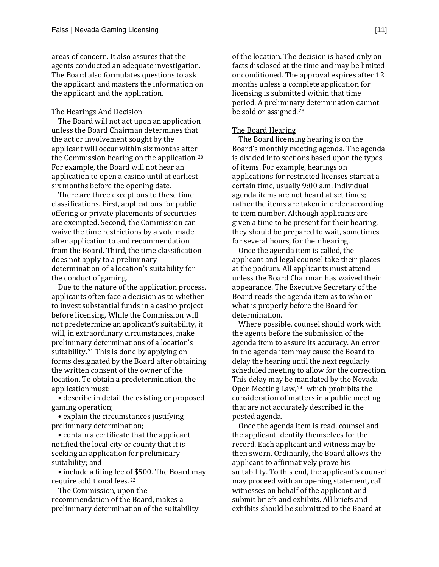areas of concern. It also assures that the agents conducted an adequate investigation. The Board also formulates questions to ask the applicant and masters the information on the applicant and the application.

#### The Hearings And Decision

The Board will not act upon an application unless the Board Chairman determines that the act or involvement sought by the applicant will occur within six months after the Commission hearing on the application. [20](#page-15-18) For example, the Board will not hear an application to open a casino until at earliest six months before the opening date.

There are three exceptions to these time classifications. First, applications for public offering or private placements of securities are exempted. Second, the Commission can waive the time restrictions by a vote made after application to and recommendation from the Board. Third, the time classification does not apply to a preliminary determination of a location's suitability for the conduct of gaming.

Due to the nature of the application process, applicants often face a decision as to whether to invest substantial funds in a casino project before licensing. While the Commission will not predetermine an applicant's suitability, it will, in extraordinary circumstances, make preliminary determinations of a location's suitability.[21](#page-15-19) This is done by applying on forms designated by the Board after obtaining the written consent of the owner of the location. To obtain a predetermination, the application must:

• describe in detail the existing or proposed gaming operation;

• explain the circumstances justifying preliminary determination;

• contain a certificate that the applicant notified the local city or county that it is seeking an application for preliminary suitability; and

• include a filing fee o[f \\$](#page-15-20)500. The Board may require additional fees. <sup>22</sup>

The Commission, upon the recommendation of the Board, makes a preliminary determination of the suitability of the location. The decision is based only on facts disclosed at the time and may be limited or conditioned. The approval expires after 12 months unless a complete application for licensing is submitted within that time period. A prelimina[ry](#page-15-21) determination cannot be sold or assigned. <sup>23</sup>

#### The Board Hearing

The Board licensing hearing is on the Board's monthly meeting agenda. The agenda is divided into sections based upon the types of items. For example, hearings on applications for restricted licenses start at a certain time, usually 9:00 a.m. Individual agenda items are not heard at set times; rather the items are taken in order according to item number. Although applicants are given a time to be present for their hearing, they should be prepared to wait, sometimes for several hours, for their hearing.

Once the agenda item is called, the applicant and legal counsel take their places at the podium. All applicants must attend unless the Board Chairman has waived their appearance. The Executive Secretary of the Board reads the agenda item as to who or what is properly before the Board for determination.

Where possible, counsel should work with the agents before the submission of the agenda item to assure its accuracy. An error in the agenda item may cause the Board to delay the hearing until the next regularly scheduled meeting to allow for the correction. This delay may be [ma](#page-15-22)ndated by the Nevada Open Meeting Law, <sup>24</sup> which prohibits the consideration of matters in a public meeting that are not accurately described in the posted agenda.

Once the agenda item is read, counsel and the applicant identify themselves for the record. Each applicant and witness may be then sworn. Ordinarily, the Board allows the applicant to affirmatively prove his suitability. To this end, the applicant's counsel may proceed with an opening statement, call witnesses on behalf of the applicant and submit briefs and exhibits. All briefs and exhibits should be submitted to the Board at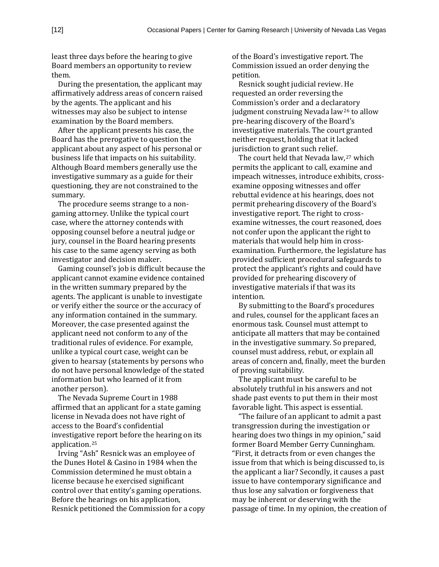least three days before the hearing to give Board members an opportunity to review them.

During the presentation, the applicant may affirmatively address areas of concern raised by the agents. The applicant and his witnesses may also be subject to intense examination by the Board members.

After the applicant presents his case, the Board has the prerogative to question the applicant about any aspect of his personal or business life that impacts on his suitability. Although Board members generally use the investigative summary as a guide for their questioning, they are not constrained to the summary.

The procedure seems strange to a nongaming attorney. Unlike the typical court case, where the attorney contends with opposing counsel before a neutral judge or jury, counsel in the Board hearing presents his case to the same agency serving as both investigator and decision maker.

Gaming counsel's job is difficult because the applicant cannot examine evidence contained in the written summary prepared by the agents. The applicant is unable to investigate or verify either the source or the accuracy of any information contained in the summary. Moreover, the case presented against the applicant need not conform to any of the traditional rules of evidence. For example, unlike a typical court case, weight can be given to hearsay (statements by persons who do not have personal knowledge of the stated information but who learned of it from another person).

The Nevada Supreme Court in 1988 affirmed that an applicant for a state gaming license in Nevada does not have right of access to the Board's confidential investigativ[e r](#page-15-23)eport before the hearing on its application. <sup>25</sup>

Irving "Ash" Resnick was an employee of the Dunes Hotel & Casino in 1984 when the Commission determined he must obtain a license because he exercised significant control over that entity's gaming operations. Before the hearings on his application, Resnick petitioned the Commission for a copy

of the Board's investigative report. The Commission issued an order denying the petition.

Resnick sought judicial review. He requested an order reversing the Commission's order and a declar[ato](#page-15-24)ry judgment construing Nevada law26 to allow pre-hearing discovery of the Board's investigative materials. The court granted neither request, holding that it lacked jurisdiction to grant such relief.

The court held that Nevada law, <sup>27</sup> which permits the applicant to call, exa[min](#page-15-25)e and impeach witnesses, introduce exhibits, crossexamine opposing witnesses and offer rebuttal evidence at his hearings, does not permit prehearing discovery of the Board's investigative report. The right to crossexamine witnesses, the court reasoned, does not confer upon the applicant the right to materials that would help him in crossexamination. Furthermore, the legislature has provided sufficient procedural safeguards to protect the applicant's rights and could have provided for prehearing discovery of investigative materials if that was its intention.

By submitting to the Board's procedures and rules, counsel for the applicant faces an enormous task. Counsel must attempt to anticipate all matters that may be contained in the investigative summary. So prepared, counsel must address, rebut, or explain all areas of concern and, finally, meet the burden of proving suitability.

The applicant must be careful to be absolutely truthful in his answers and not shade past events to put them in their most favorable light. This aspect is essential.

"The failure of an applicant to admit a past transgression during the investigation or hearing does two things in my opinion," said former Board Member Gerry Cunningham. "First, it detracts from or even changes the issue from that which is being discussed to, is the applicant a liar? Secondly, it causes a past issue to have contemporary significance and thus lose any salvation or forgiveness that may be inherent or deserving with the passage of time. In my opinion, the creation of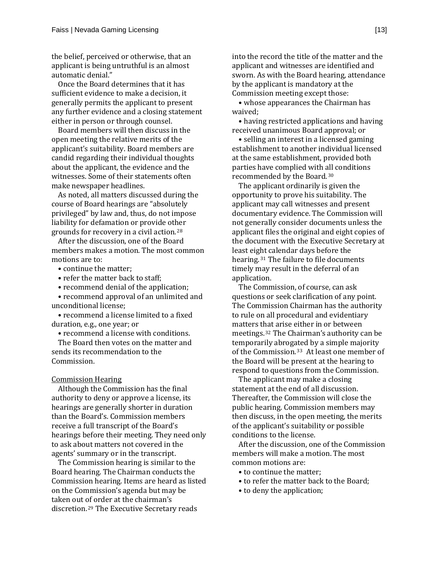the belief, perceived or otherwise, that an applicant is being untruthful is an almost automatic denial."

Once the Board determines that it has sufficient evidence to make a decision, it generally permits the applicant to present any further evidence and a closing statement either in person or through counsel.

Board members will then discuss in the open meeting the relative merits of the applicant's suitability. Board members are candid regarding their individual thoughts about the applicant, the evidence and the witnesses. Some of their statements often make newspaper headlines.

As noted, all matters discussed during the course of Board hearings are "absolutely privileged" by law and, thus, do not impose liability for defamation or provide ot[he](#page-15-26)r grounds for recovery in a civil action. <sup>28</sup>

After the discussion, one of the Board members makes a motion. The most common motions are to:

• continue the matter;

• refer the matter back to staff;

• recommend denial of the application;

• recommend approval of an unlimited and unconditional license;

• recommend a license limited to a fixed duration, e.g., one year; or

• recommend a license with conditions.

The Board then votes on the matter and sends its recommendation to the Commission.

#### Commission Hearing

Although the Commission has the final authority to deny or approve a license, its hearings are generally shorter in duration than the Board's. Commission members receive a full transcript of the Board's hearings before their meeting. They need only to ask about matters not covered in the agents' summary or in the transcript.

The Commission hearing is similar to the Board hearing. The Chairman conducts the Commission hearing. Items are heard as listed on the Commission's agenda but may be taken out [of](#page-15-27) order at the chairman's discretion. <sup>29</sup> The Executive Secretary reads

into the record the title of the matter and the applicant and witnesses are identified and sworn. As with the Board hearing, attendance by the applicant is mandatory at the Commission meeting except those:

• whose appearances the Chairman has waived;

• having restricted applications and having received unanimous Board approval; or

• selling an interest in a licensed gaming establishment to another individual licensed at the same establishment, provided both parties have complied with [all](#page-15-28) conditions recommended by the Board. <sup>30</sup>

The applicant ordinarily is given the opportunity to prove his suitability. The applicant may call witnesses and present documentary evidence. The Commission will not generally consider documents unless the applicant files the original and eight copies of the document with the Executive Secretary at least eig[ht](#page-15-29) calendar days before the hearing. <sup>31</sup> The failure to file documents timely may result in the deferral of an application.

The Commission, of course, can ask questions or seek clarification of any point. The Commission Chairman has the authority to rule on all procedural and evidentiary matters t[ha](#page-15-30)t arise either in or between meetings. <sup>32</sup> The Chairman's authority can be temporarily abrog[ate](#page-15-31)d by a simple majority of the Commission. <sup>33</sup> At least one member of the Board will be present at the hearing to respond to questions from the Commission.

The applicant may make a closing statement at the end of all discussion. Thereafter, the Commission will close the public hearing. Commission members may then discuss, in the open meeting, the merits of the applicant's suitability or possible conditions to the license.

After the discussion, one of the Commission members will make a motion. The most common motions are:

- to continue the matter;
- to refer the matter back to the Board;
- to deny the application;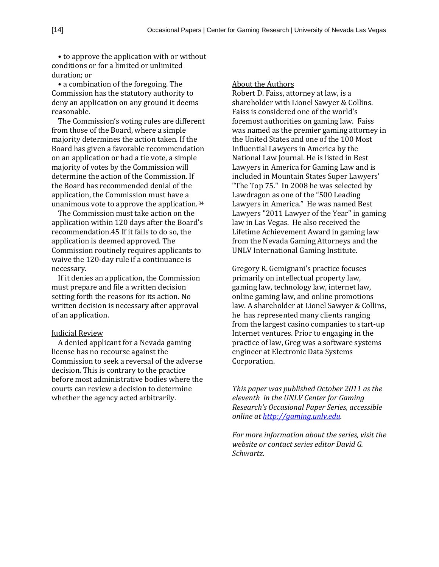• to approve the application with or without conditions or for a limited or unlimited duration; or

• a combination of the foregoing. The Commission has the statutory authority to deny an application on any ground it deems reasonable.

The Commission's voting rules are different from those of the Board, where a simple majority determines the action taken. If the Board has given a favorable recommendation on an application or had a tie vote, a simple majority of votes by the Commission will determine the action of the Commission. If the Board has recommended denial of the application, the Commission must have a unanimous vote to approve the application.[34](#page-15-32)

The Commission must take action on the application within 120 days after the Board's recommendation.45 If it fails to do so, the application is deemed approved. The Commission routinely requires applicants to waive the 120-day rule if a continuance is necessary.

If it denies an application, the Commission must prepare and file a written decision setting forth the reasons for its action. No written decision is necessary after approval of an application.

#### Judicial Review

A denied applicant for a Nevada gaming license has no recourse against the Commission to seek a reversal of the adverse decision. This is contrary to the practice before most administrative bodies where the courts can review a decision to determine whether the agency acted arbitrarily.

#### About the Authors

Robert D. Faiss, attorney at law, is a shareholder with Lionel Sawyer & Collins. Faiss is considered one of the world's foremost authorities on gaming law. Faiss was named as the premier gaming attorney in the United States and one of the 100 Most Influential Lawyers in America by the National Law Journal. He is listed in Best Lawyers in America for Gaming Law and is included in Mountain States Super Lawyers' "The Top 75." In 2008 he was selected by Lawdragon as one of the "500 Leading Lawyers in America." He was named Best Lawyers "2011 Lawyer of the Year" in gaming law in Las Vegas. He also received the Lifetime Achievement Award in gaming law from the Nevada Gaming Attorneys and the UNLV International Gaming Institute.

Gregory R. Gemignani's practice focuses primarily on intellectual property law, gaming law, technology law, internet law, online gaming law, and online promotions law. A shareholder at Lionel Sawyer & Collins, he has represented many clients ranging from the largest casino companies to start-up Internet ventures. Prior to engaging in the practice of law, Greg was a software systems engineer at Electronic Data Systems Corporation.

*This paper was published October 2011 as the eleventh in the UNLV Center for Gaming Research's Occasional Paper Series, accessible online a[t http://gaming.unlv.edu.](http://gaming.unlv.edu/)*

*For more information about the series, visit the website or contact series editor David G. Schwartz.*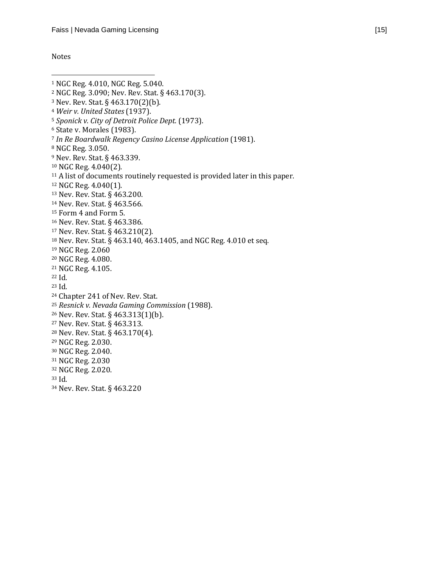#### Notes

 $\overline{\phantom{a}}$ 

<span id="page-14-0"></span> NGC Reg. 4.010, NGC Reg. 5.040. NGC Reg. 3.090; Nev. Rev. Stat. § 463.170(3). Nev. Rev. Stat. § 463.170(2)(b). *Weir v. United States* (1937). *Sponick v. City of Detroit Police Dept.* (1973). State v. Morales (1983). *In Re Boardwalk Regency Casino License Application* (1981). NGC Reg. 3.050. Nev. Rev. Stat. § 463.339. NGC Reg. 4.040(2). <sup>11</sup> A list of documents routinely requested is provided later in this paper. NGC Reg. 4.040(1). Nev. Rev. Stat. § 463.200. Nev. Rev. Stat. § 463.566. Form 4 and Form 5. Nev. Rev. Stat. § 463.386. Nev. Rev. Stat. § 463.210(2). Nev. Rev. Stat. § 463.140, 463.1405, and NGC Reg. 4.010 et seq. NGC Reg. 2.060 NGC Reg. 4.080. NGC Reg. 4.105. Id. Id. Chapter 241 of Nev. Rev. Stat. *Resnick v. Nevada Gaming Commission* (1988). Nev. Rev. Stat. § 463.313(1)(b). Nev. Rev. Stat. § 463.313. Nev. Rev. Stat. § 463.170(4). NGC Reg. 2.030. NGC Reg. 2.040. NGC Reg. 2.030 NGC Reg. 2.020. Id. Nev. Rev. Stat. § 463.220